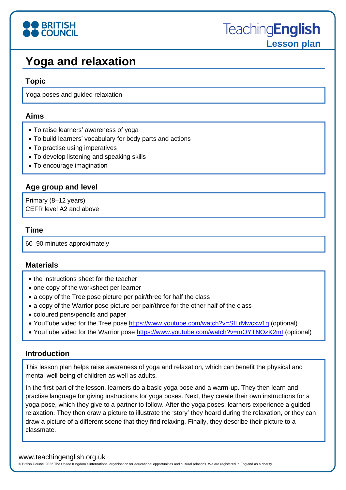

## **Yoga and relaxation**

#### **Topic**

Yoga poses and guided relaxation

#### **Aims**

- To raise learners' awareness of yoga
- To build learners' vocabulary for body parts and actions
- To practise using imperatives
- To develop listening and speaking skills
- To encourage imagination

### **Age group and level**

Primary (8–12 years) CEFR level A2 and above

#### **Time**

60–90 minutes approximately

#### **Materials**

- the instructions sheet for the teacher
- one copy of the worksheet per learner
- a copy of the Tree pose picture per pair/three for half the class
- a copy of the Warrior pose picture per pair/three for the other half of the class
- coloured pens/pencils and paper
- YouTube video for the Tree pose<https://www.youtube.com/watch?v=SfLrMwcxw1g> (optional)
- YouTube video for the Warrior pose<https://www.youtube.com/watch?v=mOYTNOzK2mI> (optional)

#### **Introduction**

This lesson plan helps raise awareness of yoga and relaxation, which can benefit the physical and mental well-being of children as well as adults.

In the first part of the lesson, learners do a basic yoga pose and a warm-up. They then learn and practise language for giving instructions for yoga poses. Next, they create their own instructions for a yoga pose, which they give to a partner to follow. After the yoga poses, learners experience a guided relaxation. They then draw a picture to illustrate the 'story' they heard during the relaxation, or they can draw a picture of a different scene that they find relaxing. Finally, they describe their picture to a classmate.

#### www.teachingenglish.org.uk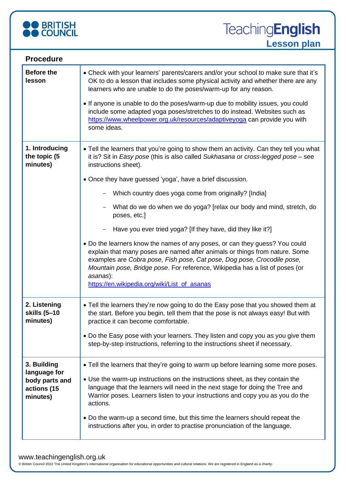

| <b>Procedure</b>                                                         |                                                                                                                                                                                                                                                                                                                                                                                                                                                                                                                                                                                                                                                                                                                                                                                                                                                                       |
|--------------------------------------------------------------------------|-----------------------------------------------------------------------------------------------------------------------------------------------------------------------------------------------------------------------------------------------------------------------------------------------------------------------------------------------------------------------------------------------------------------------------------------------------------------------------------------------------------------------------------------------------------------------------------------------------------------------------------------------------------------------------------------------------------------------------------------------------------------------------------------------------------------------------------------------------------------------|
| <b>Before the</b><br>lesson                                              | • Check with your learners' parents/carers and/or your school to make sure that it's<br>OK to do a lesson that includes some physical activity and whether there are any<br>learners who are unable to do the poses/warm-up for any reason.<br>• If anyone is unable to do the poses/warm-up due to mobility issues, you could<br>include some adapted yoga poses/stretches to do instead. Websites such as<br>https://www.wheelpower.org.uk/resources/adaptiveyoga can provide you with<br>some ideas.                                                                                                                                                                                                                                                                                                                                                               |
| 1. Introducing<br>the topic (5<br>minutes)                               | • Tell the learners that you're going to show them an activity. Can they tell you what<br>it is? Sit in Easy pose (this is also called Sukhasana or cross-legged pose - see<br>instructions sheet).<br>• Once they have guessed 'yoga', have a brief discussion.<br>Which country does yoga come from originally? [India]<br>What do we do when we do yoga? [relax our body and mind, stretch, do<br>poses, etc.]<br>Have you ever tried yoga? [If they have, did they like it?]<br>• Do the learners know the names of any poses, or can they guess? You could<br>explain that many poses are named after animals or things from nature. Some<br>examples are Cobra pose, Fish pose, Cat pose, Dog pose, Crocodile pose,<br>Mountain pose, Bridge pose. For reference, Wikipedia has a list of poses (or<br>asanas):<br>https://en.wikipedia.org/wiki/List_of_asanas |
| 2. Listening<br>skills (5-10<br>minutes)                                 | • Tell the learners they're now going to do the Easy pose that you showed them at<br>the start. Before you begin, tell them that the pose is not always easy! But with<br>practice it can become comfortable.<br>. Do the Easy pose with your learners. They listen and copy you as you give them<br>step-by-step instructions, referring to the instructions sheet if necessary.                                                                                                                                                                                                                                                                                                                                                                                                                                                                                     |
| 3. Building<br>language for<br>body parts and<br>actions (15<br>minutes) | • Tell the learners that they're going to warm up before learning some more poses.<br>• Use the warm-up instructions on the instructions sheet, as they contain the<br>language that the learners will need in the next stage for doing the Tree and<br>Warrior poses. Learners listen to your instructions and copy you as you do the<br>actions.<br>• Do the warm-up a second time, but this time the learners should repeat the<br>instructions after you, in order to practise pronunciation of the language.                                                                                                                                                                                                                                                                                                                                                     |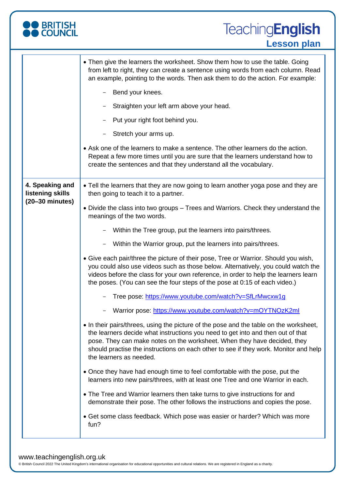

# **TeachingEnglish Lesson plan**

|                                                                  | • Then give the learners the worksheet. Show them how to use the table. Going<br>from left to right, they can create a sentence using words from each column. Read<br>an example, pointing to the words. Then ask them to do the action. For example:                                                                                                                    |
|------------------------------------------------------------------|--------------------------------------------------------------------------------------------------------------------------------------------------------------------------------------------------------------------------------------------------------------------------------------------------------------------------------------------------------------------------|
|                                                                  | Bend your knees.                                                                                                                                                                                                                                                                                                                                                         |
|                                                                  | Straighten your left arm above your head.                                                                                                                                                                                                                                                                                                                                |
|                                                                  | Put your right foot behind you.                                                                                                                                                                                                                                                                                                                                          |
|                                                                  | Stretch your arms up.                                                                                                                                                                                                                                                                                                                                                    |
|                                                                  | • Ask one of the learners to make a sentence. The other learners do the action.<br>Repeat a few more times until you are sure that the learners understand how to<br>create the sentences and that they understand all the vocabulary.                                                                                                                                   |
| 4. Speaking and<br>listening skills<br>$(20-30 \text{ minutes})$ | • Tell the learners that they are now going to learn another yoga pose and they are<br>then going to teach it to a partner.                                                                                                                                                                                                                                              |
|                                                                  | • Divide the class into two groups - Trees and Warriors. Check they understand the<br>meanings of the two words.                                                                                                                                                                                                                                                         |
|                                                                  | Within the Tree group, put the learners into pairs/threes.                                                                                                                                                                                                                                                                                                               |
|                                                                  | Within the Warrior group, put the learners into pairs/threes.                                                                                                                                                                                                                                                                                                            |
|                                                                  | • Give each pair/three the picture of their pose, Tree or Warrior. Should you wish,<br>you could also use videos such as those below. Alternatively, you could watch the<br>videos before the class for your own reference, in order to help the learners learn<br>the poses. (You can see the four steps of the pose at 0:15 of each video.)                            |
|                                                                  | Tree pose: https://www.youtube.com/watch?v=SfLrMwcxw1g                                                                                                                                                                                                                                                                                                                   |
|                                                                  | Warrior pose: https://www.youtube.com/watch?v=mOYTNOzK2ml                                                                                                                                                                                                                                                                                                                |
|                                                                  | • In their pairs/threes, using the picture of the pose and the table on the worksheet,<br>the learners decide what instructions you need to get into and then out of that<br>pose. They can make notes on the worksheet. When they have decided, they<br>should practise the instructions on each other to see if they work. Monitor and help<br>the learners as needed. |
|                                                                  | • Once they have had enough time to feel comfortable with the pose, put the<br>learners into new pairs/threes, with at least one Tree and one Warrior in each.                                                                                                                                                                                                           |
|                                                                  | • The Tree and Warrior learners then take turns to give instructions for and<br>demonstrate their pose. The other follows the instructions and copies the pose.                                                                                                                                                                                                          |
|                                                                  | • Get some class feedback. Which pose was easier or harder? Which was more<br>fun?                                                                                                                                                                                                                                                                                       |